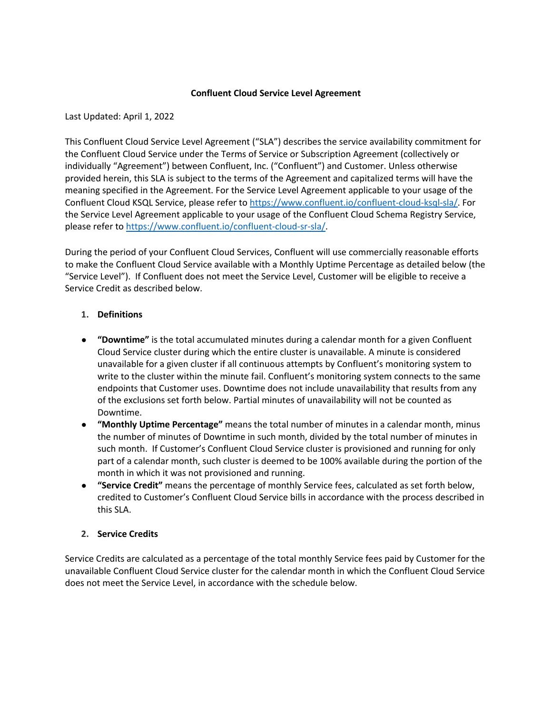## **Confluent Cloud Service Level Agreement**

Last Updated: April 1, 2022

This Confluent Cloud Service Level Agreement ("SLA") describes the service availability commitment for the Confluent Cloud Service under the Terms of Service or Subscription Agreement (collectively or individually "Agreement") between Confluent, Inc. ("Confluent") and Customer. Unless otherwise provided herein, this SLA is subject to the terms of the Agreement and capitalized terms will have the meaning specified in the Agreement. For the Service Level Agreement applicable to your usage of the Confluent Cloud KSQL Service, please refer to https://www.confluent.io/confluent-cloud-ksql-sla/. For the Service Level Agreement applicable to your usage of the Confluent Cloud Schema Registry Service, please refer to https://www.confluent.io/confluent-cloud-sr-sla/.

During the period of your Confluent Cloud Services, Confluent will use commercially reasonable efforts to make the Confluent Cloud Service available with a Monthly Uptime Percentage as detailed below (the "Service Level"). If Confluent does not meet the Service Level, Customer will be eligible to receive a Service Credit as described below.

# **1. Definitions**

- **"Downtime"** is the total accumulated minutes during a calendar month for a given Confluent Cloud Service cluster during which the entire cluster is unavailable. A minute is considered unavailable for a given cluster if all continuous attempts by Confluent's monitoring system to write to the cluster within the minute fail. Confluent's monitoring system connects to the same endpoints that Customer uses. Downtime does not include unavailability that results from any of the exclusions set forth below. Partial minutes of unavailability will not be counted as Downtime.
- **"Monthly Uptime Percentage"** means the total number of minutes in a calendar month, minus the number of minutes of Downtime in such month, divided by the total number of minutes in such month. If Customer's Confluent Cloud Service cluster is provisioned and running for only part of a calendar month, such cluster is deemed to be 100% available during the portion of the month in which it was not provisioned and running.
- **"Service Credit"** means the percentage of monthly Service fees, calculated as set forth below, credited to Customer's Confluent Cloud Service bills in accordance with the process described in this SLA.

## **2. Service Credits**

Service Credits are calculated as a percentage of the total monthly Service fees paid by Customer for the unavailable Confluent Cloud Service cluster for the calendar month in which the Confluent Cloud Service does not meet the Service Level, in accordance with the schedule below.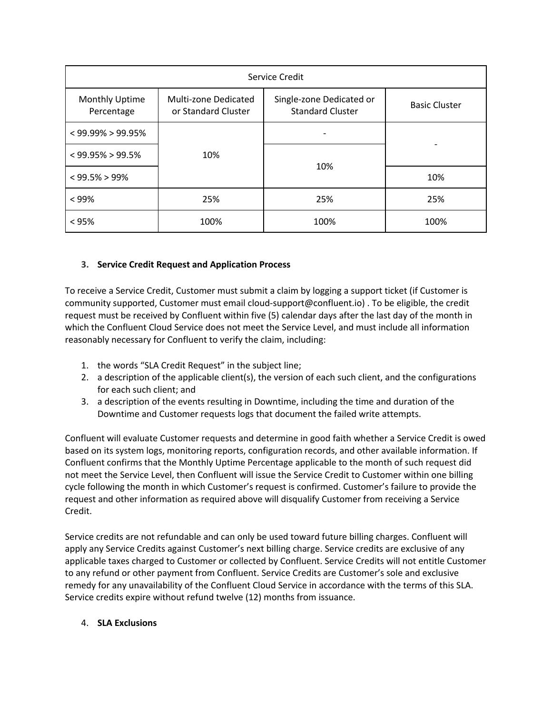| Service Credit               |                                             |                                                     |                      |
|------------------------------|---------------------------------------------|-----------------------------------------------------|----------------------|
| Monthly Uptime<br>Percentage | Multi-zone Dedicated<br>or Standard Cluster | Single-zone Dedicated or<br><b>Standard Cluster</b> | <b>Basic Cluster</b> |
| $<$ 99.99% > 99.95%          | 10%                                         |                                                     |                      |
| $<$ 99.95% > 99.5%           |                                             | 10%                                                 |                      |
| $< 99.5\% > 99\%$            |                                             |                                                     | 10%                  |
| $< 99\%$                     | 25%                                         | 25%                                                 | 25%                  |
| < 95%                        | 100%                                        | 100%                                                | 100%                 |

# **3. Service Credit Request and Application Process**

To receive a Service Credit, Customer must submit a claim by logging a support ticket (if Customer is community supported, Customer must email cloud-support@confluent.io) . To be eligible, the credit request must be received by Confluent within five (5) calendar days after the last day of the month in which the Confluent Cloud Service does not meet the Service Level, and must include all information reasonably necessary for Confluent to verify the claim, including:

- 1. the words "SLA Credit Request" in the subject line;
- 2. a description of the applicable client(s), the version of each such client, and the configurations for each such client; and
- 3. a description of the events resulting in Downtime, including the time and duration of the Downtime and Customer requests logs that document the failed write attempts.

Confluent will evaluate Customer requests and determine in good faith whether a Service Credit is owed based on its system logs, monitoring reports, configuration records, and other available information. If Confluent confirms that the Monthly Uptime Percentage applicable to the month of such request did not meet the Service Level, then Confluent will issue the Service Credit to Customer within one billing cycle following the month in which Customer's request is confirmed. Customer's failure to provide the request and other information as required above will disqualify Customer from receiving a Service Credit.

Service credits are not refundable and can only be used toward future billing charges. Confluent will apply any Service Credits against Customer's next billing charge. Service credits are exclusive of any applicable taxes charged to Customer or collected by Confluent. Service Credits will not entitle Customer to any refund or other payment from Confluent. Service Credits are Customer's sole and exclusive remedy for any unavailability of the Confluent Cloud Service in accordance with the terms of this SLA. Service credits expire without refund twelve (12) months from issuance.

# 4. **SLA Exclusions**